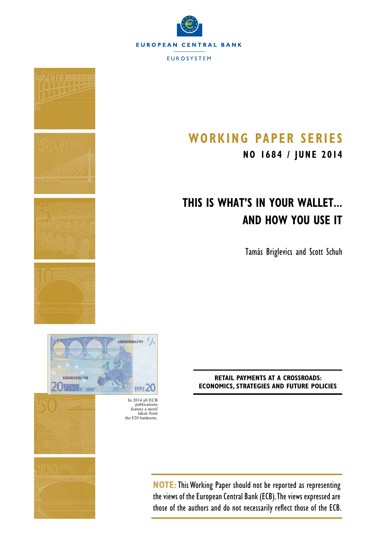



# **Working Paper S erieS**

**NO 1684 / june 2014**

# **This Is What's in Your Wallet... and How You Use It**

Tamás Briglevics and Scott Schuh

**RETAIL PAYMENTS AT A CROSSROADS: ECONOMICS, STRATEGIES AND FUTURE POLICIES**

In 2014 all ECB publications feature a motif taken from the  $\epsilon$ 20 banknote.

EVB8 20

 $\mathcal{L}_{\mathcal{A}}$ 

\$00000004795

**NOTE:**This Working Paper should not be reported as representing the views of the European Central Bank (ECB). The views expressed are those of the authors and do not necessarily reflect those of the ECB.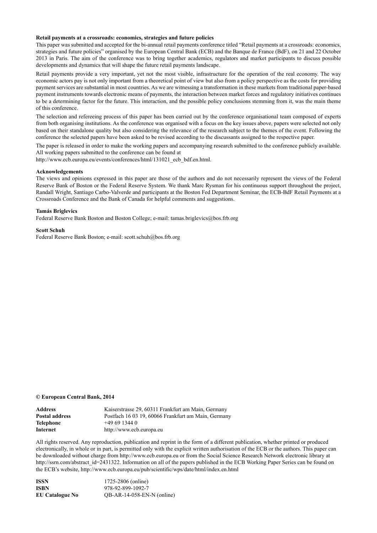#### **Retail payments at a crossroads: economics, strategies and future policies**

This paper was submitted and accepted for the bi-annual retail payments conference titled "Retail payments at a crossroads: economics, strategies and future policies" organised by the European Central Bank (ECB) and the Banque de France (BdF), on 21 and 22 October 2013 in Paris. The aim of the conference was to bring together academics, regulators and market participants to discuss possible developments and dynamics that will shape the future retail payments landscape.

Retail payments provide a very important, yet not the most visible, infrastructure for the operation of the real economy. The way economic actors pay is not only important from a theoretical point of view but also from a policy perspective as the costs for providing payment services are substantial in most countries. As we are witnessing a transformation in these markets from traditional paper-based payment instruments towards electronic means of payments, the interaction between market forces and regulatory initiatives continues to be a determining factor for the future. This interaction, and the possible policy conclusions stemming from it, was the main theme of this conference.

The selection and refereeing process of this paper has been carried out by the conference organisational team composed of experts from both organising institutions. As the conference was organised with a focus on the key issues above, papers were selected not only based on their standalone quality but also considering the relevance of the research subject to the themes of the event. Following the conference the selected papers have been asked to be revised according to the discussants assigned to the respective paper.

The paper is released in order to make the working papers and accompanying research submitted to the conference publicly available. All working papers submitted to the conference can be found at

http://www.ecb.europa.eu/events/conferences/html/131021\_ecb\_bdf.en.html.

#### **Acknowledgements**

The views and opinions expressed in this paper are those of the authors and do not necessarily represent the views of the Federal Reserve Bank of Boston or the Federal Reserve System. We thank Marc Rysman for his continuous support throughout the project, Randall Wright, Santiago Carbo-Valverde and participants at the Boston Fed Department Seminar, the ECB-BdF Retail Payments at a Crossroads Conference and the Bank of Canada for helpful comments and suggestions.

#### **Tamás Briglevics**

Federal Reserve Bank Boston and Boston College; e-mail: tamas.briglevics@bos.frb.org

#### **Scott Schuh**

Federal Reserve Bank Boston; e-mail: scott.schuh@bos.frb.org

#### **© European Central Bank, 2014**

| Address        | Kaiserstrasse 29, 60311 Frankfurt am Main, Germany  |
|----------------|-----------------------------------------------------|
| Postal address | Postfach 16 03 19, 60066 Frankfurt am Main, Germany |
| Telephone      | $+496913440$                                        |
| Internet       | http://www.ecb.europa.eu                            |

All rights reserved. Any reproduction, publication and reprint in the form of a different publication, whether printed or produced electronically, in whole or in part, is permitted only with the explicit written authorisation of the ECB or the authors. This paper can be downloaded without charge from http://www.ecb.europa.eu or from the Social Science Research Network electronic library at http://ssrn.com/abstract\_id=2431322. Information on all of the papers published in the ECB Working Paper Series can be found on the ECB's website, http://www.ecb.europa.eu/pub/scientific/wps/date/html/index.en.html

| <b>ISSN</b>            | 1725-2806 (online)         |
|------------------------|----------------------------|
| <b>ISBN</b>            | 978-92-899-1092-7          |
| <b>EU Catalogue No</b> | QB-AR-14-058-EN-N (online) |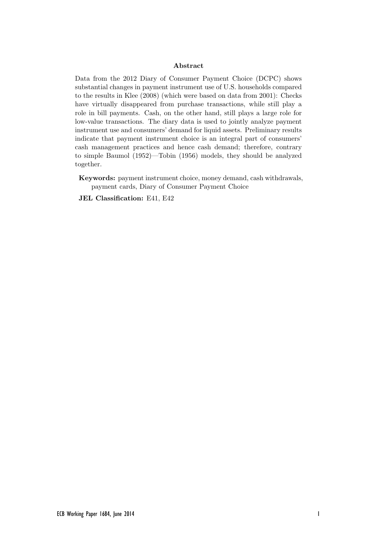#### Abstract

Data from the 2012 Diary of Consumer Payment Choice (DCPC) shows substantial changes in payment instrument use of U.S. households compared to the results in Klee (2008) (which were based on data from 2001): Checks have virtually disappeared from purchase transactions, while still play a role in bill payments. Cash, on the other hand, still plays a large role for low-value transactions. The diary data is used to jointly analyze payment instrument use and consumers' demand for liquid assets. Preliminary results indicate that payment instrument choice is an integral part of consumers' cash management practices and hence cash demand; therefore, contrary to simple Baumol (1952)—Tobin (1956) models, they should be analyzed together.

Keywords: payment instrument choice, money demand, cash withdrawals, payment cards, Diary of Consumer Payment Choice

JEL Classification: E41, E42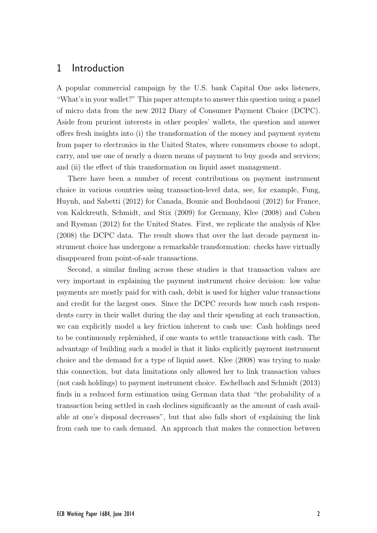## 1 Introduction

A popular commercial campaign by the U.S. bank Capital One asks listeners, "What's in your wallet?" This paper attempts to answer this question using a panel of micro data from the new 2012 Diary of Consumer Payment Choice (DCPC). Aside from prurient interests in other peoples' wallets, the question and answer offers fresh insights into (i) the transformation of the money and payment system from paper to electronics in the United States, where consumers choose to adopt, carry, and use one of nearly a dozen means of payment to buy goods and services; and (ii) the effect of this transformation on liquid asset management.

There have been a number of recent contributions on payment instrument choice in various countries using transaction-level data, see, for example, Fung, Huynh, and Sabetti (2012) for Canada, Bounie and Bouhdaoui (2012) for France, von Kalckreuth, Schmidt, and Stix (2009) for Germany, Klee (2008) and Cohen and Rysman (2012) for the United States. First, we replicate the analysis of Klee (2008) the DCPC data. The result shows that over the last decade payment instrument choice has undergone a remarkable transformation: checks have virtually disappeared from point-of-sale transactions.

Second, a similar finding across these studies is that transaction values are very important in explaining the payment instrument choice decision: low value payments are mostly paid for with cash, debit is used for higher value transactions and credit for the largest ones. Since the DCPC records how much cash respondents carry in their wallet during the day and their spending at each transaction, we can explicitly model a key friction inherent to cash use: Cash holdings need to be continuously replenished, if one wants to settle transactions with cash. The advantage of building such a model is that it links explicitly payment instrument choice and the demand for a type of liquid asset. Klee (2008) was trying to make this connection, but data limitations only allowed her to link transaction values (not cash holdings) to payment instrument choice. Eschelbach and Schmidt (2013) finds in a reduced form estimation using German data that "the probability of a transaction being settled in cash declines significantly as the amount of cash available at one's disposal decreases", but that also falls short of explaining the link from cash use to cash demand. An approach that makes the connection between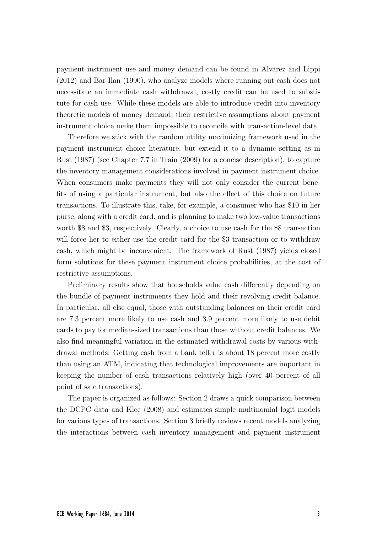payment instrument use and money demand can be found in Alvarez and Lippi (2012) and Bar-Ilan (1990), who analyze models where running out cash does not necessitate an immediate cash withdrawal, costly credit can be used to substitute for cash use. While these models are able to introduce credit into inventory theoretic models of money demand, their restrictive assumptions about payment instrument choice make them impossible to reconcile with transaction-level data.

Therefore we stick with the random utility maximizing framework used in the payment instrument choice literature, but extend it to a dynamic setting as in Rust (1987) (see Chapter 7.7 in Train (2009) for a concise description), to capture the inventory management considerations involved in payment instrument choice. When consumers make payments they will not only consider the current benefits of using a particular instrument, but also the effect of this choice on future transactions. To illustrate this, take, for example, a consumer who has \$10 in her purse, along with a credit card, and is planning to make two low-value transactions worth \$8 and \$3, respectively. Clearly, a choice to use cash for the \$8 transaction will force her to either use the credit card for the \$3 transaction or to withdraw cash, which might be inconvenient. The framework of Rust (1987) yields closed form solutions for these payment instrument choice probabilities, at the cost of restrictive assumptions.

Preliminary results show that households value cash differently depending on the bundle of payment instruments they hold and their revolving credit balance. In particular, all else equal, those with outstanding balances on their credit card are 7.3 percent more likely to use cash and 3.9 percent more likely to use debit cards to pay for median-sized transactions than those without credit balances. We also find meaningful variation in the estimated withdrawal costs by various withdrawal methods: Getting cash from a bank teller is about 18 percent more costly than using an ATM, indicating that technological improvements are important in keeping the number of cash transactions relatively high (over 40 percent of all point of sale transactions).

The paper is organized as follows: Section 2 draws a quick comparison between the DCPC data and Klee (2008) and estimates simple multinomial logit models for various types of transactions. Section 3 briefly reviews recent models analyzing the interactions between cash inventory management and payment instrument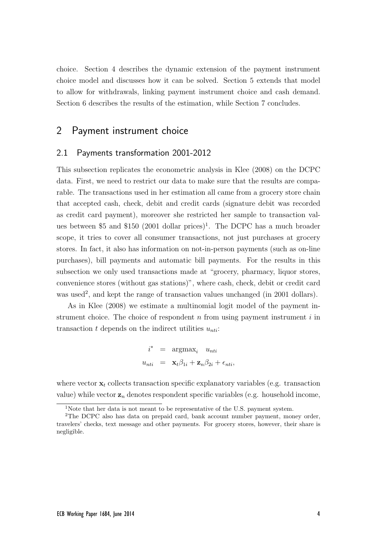choice. Section 4 describes the dynamic extension of the payment instrument choice model and discusses how it can be solved. Section 5 extends that model to allow for withdrawals, linking payment instrument choice and cash demand. Section 6 describes the results of the estimation, while Section 7 concludes.

# 2 Payment instrument choice

#### 2.1 Payments transformation 2001-2012

This subsection replicates the econometric analysis in Klee (2008) on the DCPC data. First, we need to restrict our data to make sure that the results are comparable. The transactions used in her estimation all came from a grocery store chain that accepted cash, check, debit and credit cards (signature debit was recorded as credit card payment), moreover she restricted her sample to transaction values between \$5 and \$150 (2001 dollar prices)<sup>1</sup>. The DCPC has a much broader scope, it tries to cover all consumer transactions, not just purchases at grocery stores. In fact, it also has information on not-in-person payments (such as on-line purchases), bill payments and automatic bill payments. For the results in this subsection we only used transactions made at "grocery, pharmacy, liquor stores, convenience stores (without gas stations)", where cash, check, debit or credit card was used<sup>2</sup>, and kept the range of transaction values unchanged (in 2001 dollars).

As in Klee (2008) we estimate a multinomial logit model of the payment instrument choice. The choice of respondent  $n$  from using payment instrument  $i$  in transaction t depends on the indirect utilities  $u_{nti}$ :

$$
i^* = \operatorname{argmax}_{i} u_{nti}
$$

$$
u_{nti} = \mathbf{x}_t \beta_{1i} + \mathbf{z}_n \beta_{2i} + \epsilon_{nti},
$$

where vector  $\mathbf{x}_t$  collects transaction specific explanatory variables (e.g. transaction value) while vector  $z_n$  denotes respondent specific variables (e.g. household income,

<sup>&</sup>lt;sup>1</sup>Note that her data is not meant to be representative of the U.S. payment system.

<sup>2</sup>The DCPC also has data on prepaid card, bank account number payment, money order, travelers' checks, text message and other payments. For grocery stores, however, their share is negligible.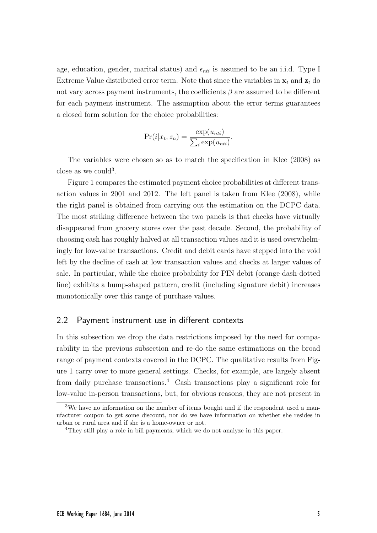age, education, gender, marital status) and  $\epsilon_{nti}$  is assumed to be an i.i.d. Type I Extreme Value distributed error term. Note that since the variables in  $x_t$  and  $z_t$  do not vary across payment instruments, the coefficients  $\beta$  are assumed to be different for each payment instrument. The assumption about the error terms guarantees a closed form solution for the choice probabilities:

$$
Pr(i|x_t, z_n) = \frac{\exp(u_{nti})}{\sum_i \exp(u_{nti})}.
$$

The variables were chosen so as to match the specification in Klee (2008) as close as we could<sup>3</sup>.

Figure 1 compares the estimated payment choice probabilities at different transaction values in 2001 and 2012. The left panel is taken from Klee (2008), while the right panel is obtained from carrying out the estimation on the DCPC data. The most striking difference between the two panels is that checks have virtually disappeared from grocery stores over the past decade. Second, the probability of choosing cash has roughly halved at all transaction values and it is used overwhelmingly for low-value transactions. Credit and debit cards have stepped into the void left by the decline of cash at low transaction values and checks at larger values of sale. In particular, while the choice probability for PIN debit (orange dash-dotted line) exhibits a hump-shaped pattern, credit (including signature debit) increases monotonically over this range of purchase values.

#### 2.2 Payment instrument use in different contexts

In this subsection we drop the data restrictions imposed by the need for comparability in the previous subsection and re-do the same estimations on the broad range of payment contexts covered in the DCPC. The qualitative results from Figure 1 carry over to more general settings. Checks, for example, are largely absent from daily purchase transactions.<sup>4</sup> Cash transactions play a significant role for low-value in-person transactions, but, for obvious reasons, they are not present in

 $3$ We have no information on the number of items bought and if the respondent used a manufacturer coupon to get some discount, nor do we have information on whether she resides in urban or rural area and if she is a home-owner or not.

<sup>&</sup>lt;sup>4</sup>They still play a role in bill payments, which we do not analyze in this paper.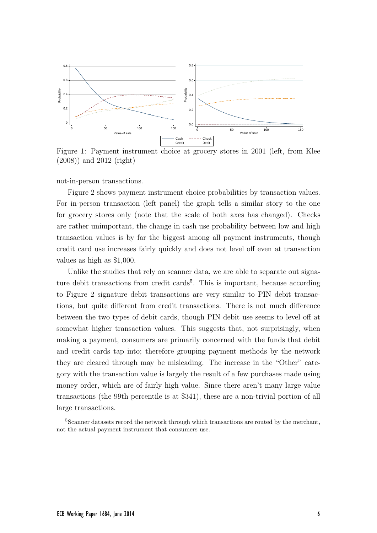

Figure 1: Payment instrument choice at grocery stores in 2001 (left, from Klee (2008)) and 2012 (right)

not-in-person transactions.

Figure 2 shows payment instrument choice probabilities by transaction values. For in-person transaction (left panel) the graph tells a similar story to the one for grocery stores only (note that the scale of both axes has changed). Checks are rather unimportant, the change in cash use probability between low and high transaction values is by far the biggest among all payment instruments, though credit card use increases fairly quickly and does not level off even at transaction values as high as \$1,000.

Unlike the studies that rely on scanner data, we are able to separate out signature debit transactions from credit cards<sup>5</sup>. This is important, because according to Figure 2 signature debit transactions are very similar to PIN debit transactions, but quite different from credit transactions. There is not much difference between the two types of debit cards, though PIN debit use seems to level off at somewhat higher transaction values. This suggests that, not surprisingly, when making a payment, consumers are primarily concerned with the funds that debit and credit cards tap into; therefore grouping payment methods by the network they are cleared through may be misleading. The increase in the "Other" category with the transaction value is largely the result of a few purchases made using money order, which are of fairly high value. Since there aren't many large value transactions (the 99th percentile is at \$341), these are a non-trivial portion of all large transactions.

<sup>&</sup>lt;sup>5</sup>Scanner datasets record the network through which transactions are routed by the merchant, not the actual payment instrument that consumers use.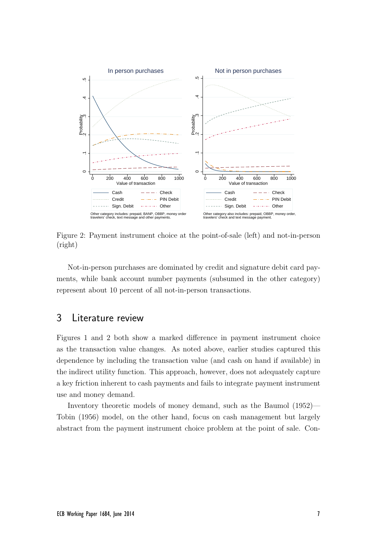

Figure 2: Payment instrument choice at the point-of-sale (left) and not-in-person (right)

Not-in-person purchases are dominated by credit and signature debit card payments, while bank account number payments (subsumed in the other category) represent about 10 percent of all not-in-person transactions.

## 3 Literature review

Figures 1 and 2 both show a marked difference in payment instrument choice as the transaction value changes. As noted above, earlier studies captured this dependence by including the transaction value (and cash on hand if available) in the indirect utility function. This approach, however, does not adequately capture a key friction inherent to cash payments and fails to integrate payment instrument use and money demand.

Inventory theoretic models of money demand, such as the Baumol (1952)— Tobin (1956) model, on the other hand, focus on cash management but largely abstract from the payment instrument choice problem at the point of sale. Con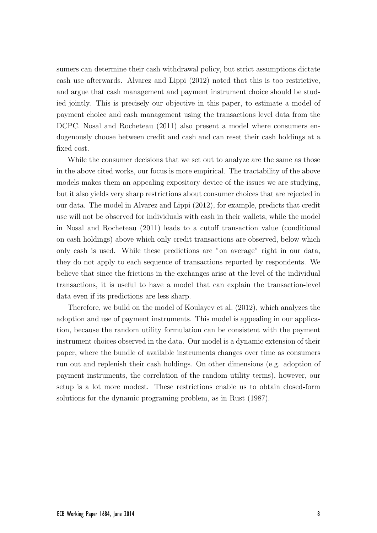sumers can determine their cash withdrawal policy, but strict assumptions dictate cash use afterwards. Alvarez and Lippi (2012) noted that this is too restrictive, and argue that cash management and payment instrument choice should be studied jointly. This is precisely our objective in this paper, to estimate a model of payment choice and cash management using the transactions level data from the DCPC. Nosal and Rocheteau (2011) also present a model where consumers endogenously choose between credit and cash and can reset their cash holdings at a fixed cost.

While the consumer decisions that we set out to analyze are the same as those in the above cited works, our focus is more empirical. The tractability of the above models makes them an appealing expository device of the issues we are studying, but it also yields very sharp restrictions about consumer choices that are rejected in our data. The model in Alvarez and Lippi (2012), for example, predicts that credit use will not be observed for individuals with cash in their wallets, while the model in Nosal and Rocheteau (2011) leads to a cutoff transaction value (conditional on cash holdings) above which only credit transactions are observed, below which only cash is used. While these predictions are "on average" right in our data, they do not apply to each sequence of transactions reported by respondents. We believe that since the frictions in the exchanges arise at the level of the individual transactions, it is useful to have a model that can explain the transaction-level data even if its predictions are less sharp.

Therefore, we build on the model of Koulayev et al. (2012), which analyzes the adoption and use of payment instruments. This model is appealing in our application, because the random utility formulation can be consistent with the payment instrument choices observed in the data. Our model is a dynamic extension of their paper, where the bundle of available instruments changes over time as consumers run out and replenish their cash holdings. On other dimensions (e.g. adoption of payment instruments, the correlation of the random utility terms), however, our setup is a lot more modest. These restrictions enable us to obtain closed-form solutions for the dynamic programing problem, as in Rust (1987).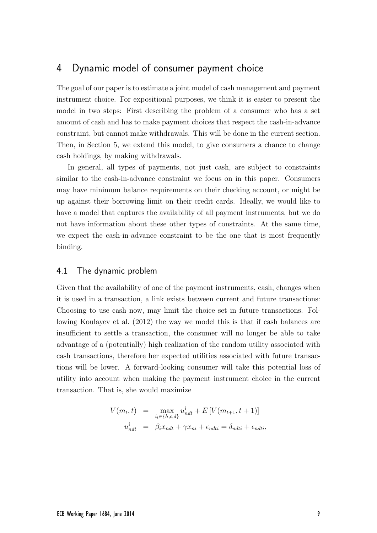# 4 Dynamic model of consumer payment choice

The goal of our paper is to estimate a joint model of cash management and payment instrument choice. For expositional purposes, we think it is easier to present the model in two steps: First describing the problem of a consumer who has a set amount of cash and has to make payment choices that respect the cash-in-advance constraint, but cannot make withdrawals. This will be done in the current section. Then, in Section 5, we extend this model, to give consumers a chance to change cash holdings, by making withdrawals.

In general, all types of payments, not just cash, are subject to constraints similar to the cash-in-advance constraint we focus on in this paper. Consumers may have minimum balance requirements on their checking account, or might be up against their borrowing limit on their credit cards. Ideally, we would like to have a model that captures the availability of all payment instruments, but we do not have information about these other types of constraints. At the same time, we expect the cash-in-advance constraint to be the one that is most frequently binding.

### 4.1 The dynamic problem

Given that the availability of one of the payment instruments, cash, changes when it is used in a transaction, a link exists between current and future transactions: Choosing to use cash now, may limit the choice set in future transactions. Following Koulayev et al. (2012) the way we model this is that if cash balances are insufficient to settle a transaction, the consumer will no longer be able to take advantage of a (potentially) high realization of the random utility associated with cash transactions, therefore her expected utilities associated with future transactions will be lower. A forward-looking consumer will take this potential loss of utility into account when making the payment instrument choice in the current transaction. That is, she would maximize

$$
V(m_t, t) = \max_{i_t \in \{h, c, d\}} u_{ndt}^i + E[V(m_{t+1}, t+1)]
$$
  

$$
u_{ndt}^i = \beta_t x_{ndt} + \gamma x_{ni} + \epsilon_{ndti} = \delta_{ndti} + \epsilon_{ndti},
$$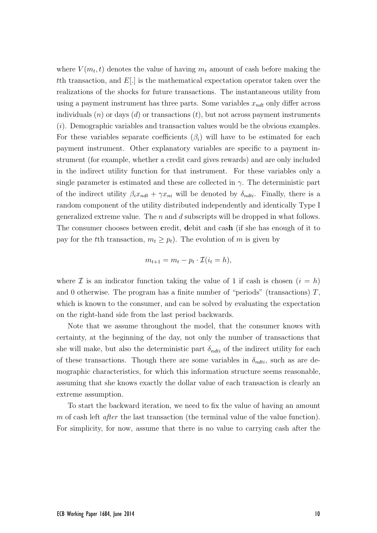where  $V(m_t, t)$  denotes the value of having  $m_t$  amount of cash before making the tth transaction, and  $E(.)$  is the mathematical expectation operator taken over the realizations of the shocks for future transactions. The instantaneous utility from using a payment instrument has three parts. Some variables  $x_{ndt}$  only differ across individuals  $(n)$  or days  $(d)$  or transactions  $(t)$ , but not across payment instruments (i). Demographic variables and transaction values would be the obvious examples. For these variables separate coefficients  $(\beta_i)$  will have to be estimated for each payment instrument. Other explanatory variables are specific to a payment instrument (for example, whether a credit card gives rewards) and are only included in the indirect utility function for that instrument. For these variables only a single parameter is estimated and these are collected in  $\gamma$ . The deterministic part of the indirect utility  $\beta_i x_{ndt} + \gamma x_{ni}$  will be denoted by  $\delta_{ndti}$ . Finally, there is a random component of the utility distributed independently and identically Type I generalized extreme value. The  $n$  and  $d$  subscripts will be dropped in what follows. The consumer chooses between credit, debit and cash (if she has enough of it to pay for the tth transaction,  $m_t \geq p_t$ ). The evolution of m is given by

$$
m_{t+1} = m_t - p_t \cdot \mathcal{I}(i_t = h),
$$

where  $\mathcal I$  is an indicator function taking the value of 1 if cash is chosen  $(i = h)$ and 0 otherwise. The program has a finite number of "periods" (transactions)  $T$ , which is known to the consumer, and can be solved by evaluating the expectation on the right-hand side from the last period backwards.

Note that we assume throughout the model, that the consumer knows with certainty, at the beginning of the day, not only the number of transactions that she will make, but also the deterministic part  $\delta_{ndti}$  of the indirect utility for each of these transactions. Though there are some variables in  $\delta_{ndti}$ , such as are demographic characteristics, for which this information structure seems reasonable, assuming that she knows exactly the dollar value of each transaction is clearly an extreme assumption.

To start the backward iteration, we need to fix the value of having an amount m of cash left *after* the last transaction (the terminal value of the value function). For simplicity, for now, assume that there is no value to carrying cash after the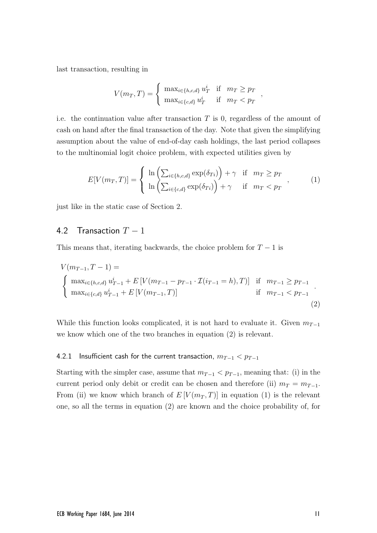last transaction, resulting in

$$
V(m_T, T) = \begin{cases} \max_{i \in \{h, c, d\}} u_T^i & \text{if } m_T \geq p_T \\ \max_{i \in \{c, d\}} u_T^i & \text{if } m_T < p_T \end{cases}
$$

i.e. the continuation value after transaction  $T$  is 0, regardless of the amount of cash on hand after the final transaction of the day. Note that given the simplifying assumption about the value of end-of-day cash holdings, the last period collapses to the multinomial logit choice problem, with expected utilities given by

$$
E[V(m_T, T)] = \begin{cases} \ln \left( \sum_{i \in \{h, c, d\}} \exp(\delta_{Ti}) \right) + \gamma & \text{if } m_T \geq p_T \\ \ln \left( \sum_{i \in \{c, d\}} \exp(\delta_{Ti}) \right) + \gamma & \text{if } m_T < p_T \end{cases}, \tag{1}
$$

,

just like in the static case of Section 2.

## 4.2 Transaction  $T-1$

This means that, iterating backwards, the choice problem for  $T - 1$  is

$$
V(m_{T-1}, T-1) = \begin{cases} \max_{i \in \{h,c,d\}} u_{T-1}^i + E[V(m_{T-1} - p_{T-1} \cdot \mathcal{I}(i_{T-1} = h), T)] & \text{if } m_{T-1} \ge p_{T-1} \\ \max_{i \in \{c,d\}} u_{T-1}^i + E[V(m_{T-1}, T)] & \text{if } m_{T-1} < p_{T-1} \end{cases} \tag{2}
$$

While this function looks complicated, it is not hard to evaluate it. Given  $m_{T-1}$ we know which one of the two branches in equation (2) is relevant.

#### 4.2.1 Insufficient cash for the current transaction,  $m_{T-1} < p_{T-1}$

Starting with the simpler case, assume that  $m_{T-1} < p_{T-1}$ , meaning that: (i) in the current period only debit or credit can be chosen and therefore (ii)  $m_T = m_{T-1}$ . From (ii) we know which branch of  $E[V(m_T,T)]$  in equation (1) is the relevant one, so all the terms in equation (2) are known and the choice probability of, for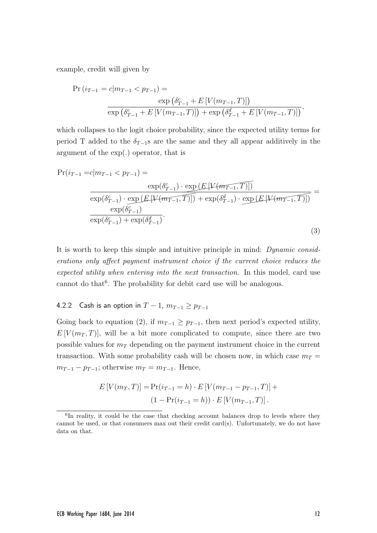example, credit will given by

$$
\Pr(i_{T-1} = c | m_{T-1} < p_{T-1}) = \frac{\exp\left(\delta_{T-1}^c + E\left[V(m_{T-1}, T)\right]\right)}{\exp\left(\delta_{T-1}^c + E\left[V(m_{T-1}, T)\right]\right) + \exp\left(\delta_{T-1}^d + E\left[V(m_{T-1}, T)\right]\right)},
$$

which collapses to the logit choice probability, since the expected utility terms for period T added to the  $\delta_{T-1}$ s are the same and they all appear additively in the argument of the exp(.) operator, that is

$$
\Pr(i_{T-1} = c | m_{T-1} < p_{T-1}) = \frac{\exp(\delta_{T-1}^c) \cdot \exp(E[\mathcal{V}(m_{T-1}, T)])}{\exp(\delta_{T-1}^c) \cdot \exp(E[\mathcal{V}(m_{T-1}, T)]) + \exp(\delta_{T-1}^d) \cdot \exp(E[\mathcal{V}(m_{T-1}, T)])} = \frac{\exp(\delta_{T-1}^c)}{\exp(\delta_{T-1}^c) + \exp(\delta_{T-1}^d)}.
$$
\n(3)

It is worth to keep this simple and intuitive principle in mind: Dynamic considerations only affect payment instrument choice if the current choice reduces the expected utility when entering into the next transaction. In this model, card use cannot do that<sup>6</sup>. The probability for debit card use will be analogous.

#### 4.2.2 Cash is an option in  $T-1$ ,  $m_{T-1} \ge p_{T-1}$

Going back to equation (2), if  $m_{T-1} \geq p_{T-1}$ , then next period's expected utility,  $E[V(m_T, T)]$ , will be a bit more complicated to compute, since there are two possible values for  $m<sub>T</sub>$  depending on the payment instrument choice in the current transaction. With some probability cash will be chosen now, in which case  $m_T =$  $m_{T-1} - p_{T-1}$ ; otherwise  $m_T = m_{T-1}$ . Hence,

$$
E[V(m_T, T)] = Pr(i_{T-1} = h) \cdot E[V(m_{T-1} - p_{T-1}, T)] +
$$

$$
(1 - Pr(i_{T-1} = h)) \cdot E[V(m_{T-1}, T)].
$$

<sup>&</sup>lt;sup>6</sup>In reality, it could be the case that checking account balances drop to levels where they cannot be used, or that consumers max out their credit card(s). Unfortunately, we do not have data on that.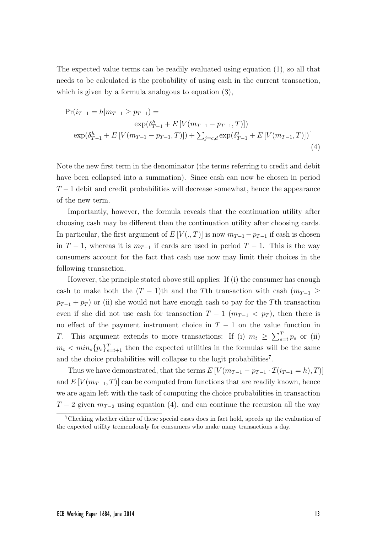The expected value terms can be readily evaluated using equation (1), so all that needs to be calculated is the probability of using cash in the current transaction, which is given by a formula analogous to equation (3),

$$
\Pr(i_{T-1} = h|m_{T-1} \ge p_{T-1}) = \frac{\exp(\delta_{T-1}^h + E[V(m_{T-1} - p_{T-1}, T)])}{\exp(\delta_{T-1}^h + E[V(m_{T-1} - p_{T-1}, T)]) + \sum_{j=c,d} \exp(\delta_{T-1}^j + E[V(m_{T-1}, T)])}.
$$
\n(4)

Note the new first term in the denominator (the terms referring to credit and debit have been collapsed into a summation). Since cash can now be chosen in period  $T-1$  debit and credit probabilities will decrease somewhat, hence the appearance of the new term.

Importantly, however, the formula reveals that the continuation utility after choosing cash may be different than the continuation utility after choosing cards. In particular, the first argument of  $E[V(., T)]$  is now  $m_{T-1} - p_{T-1}$  if cash is chosen in  $T-1$ , whereas it is  $m_{T-1}$  if cards are used in period  $T-1$ . This is the way consumers account for the fact that cash use now may limit their choices in the following transaction.

However, the principle stated above still applies: If (i) the consumer has enough cash to make both the  $(T - 1)$ th and the Tth transaction with cash  $(m_{T-1} \geq$  $p_{T-1} + p_T$  or (ii) she would not have enough cash to pay for the Tth transaction even if she did not use cash for transaction  $T-1$  ( $m_{T-1} < p_T$ ), then there is no effect of the payment instrument choice in  $T-1$  on the value function in T. This argument extends to more transactions: If (i)  $m_t \geq \sum_{s=t}^{T} p_s$  or (ii)  $m_t < min_s\{p_s\}_{s=t+1}^T$  then the expected utilities in the formulas will be the same and the choice probabilities will collapse to the logit probabilities<sup>7</sup>.

Thus we have demonstrated, that the terms  $E[V(m_{T-1} - p_{T-1} \cdot \mathcal{I}(i_{T-1} = h), T)]$ and  $E[V(m_{T-1},T)]$  can be computed from functions that are readily known, hence we are again left with the task of computing the choice probabilities in transaction  $T-2$  given  $m_{T-2}$  using equation (4), and can continue the recursion all the way

<sup>7</sup>Checking whether either of these special cases does in fact hold, speeds up the evaluation of the expected utility tremendously for consumers who make many transactions a day.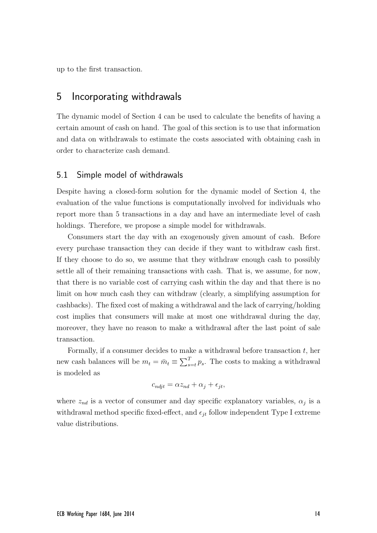up to the first transaction.

## 5 Incorporating withdrawals

The dynamic model of Section 4 can be used to calculate the benefits of having a certain amount of cash on hand. The goal of this section is to use that information and data on withdrawals to estimate the costs associated with obtaining cash in order to characterize cash demand.

### 5.1 Simple model of withdrawals

Despite having a closed-form solution for the dynamic model of Section 4, the evaluation of the value functions is computationally involved for individuals who report more than 5 transactions in a day and have an intermediate level of cash holdings. Therefore, we propose a simple model for withdrawals.

Consumers start the day with an exogenously given amount of cash. Before every purchase transaction they can decide if they want to withdraw cash first. If they choose to do so, we assume that they withdraw enough cash to possibly settle all of their remaining transactions with cash. That is, we assume, for now, that there is no variable cost of carrying cash within the day and that there is no limit on how much cash they can withdraw (clearly, a simplifying assumption for cashbacks). The fixed cost of making a withdrawal and the lack of carrying/holding cost implies that consumers will make at most one withdrawal during the day, moreover, they have no reason to make a withdrawal after the last point of sale transaction.

Formally, if a consumer decides to make a withdrawal before transaction  $t$ , her new cash balances will be  $m_t = \bar{m}_t \equiv \sum_{s=t}^{T} p_s$ . The costs to making a withdrawal is modeled as

$$
c_{ndjt} = \alpha z_{nd} + \alpha_j + \epsilon_{jt},
$$

where  $z_{nd}$  is a vector of consumer and day specific explanatory variables,  $\alpha_j$  is a withdrawal method specific fixed-effect, and  $\epsilon_{it}$  follow independent Type I extreme value distributions.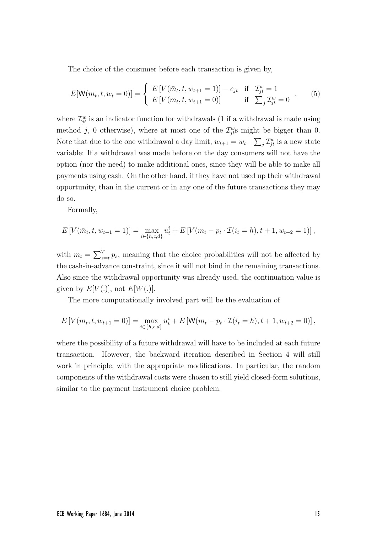The choice of the consumer before each transaction is given by,

$$
E[\mathbf{W}(m_t, t, w_t = 0)] = \begin{cases} E[V(\bar{m}_t, t, w_{t+1} = 1)] - c_{jt} & \text{if } \mathcal{I}_{jt}^w = 1\\ E[V(m_t, t, w_{t+1} = 0)] & \text{if } \sum_j \mathcal{I}_{jt}^w = 0 \end{cases}, \quad (5)
$$

where  $\mathcal{I}_{jt}^w$  is an indicator function for withdrawals (1 if a withdrawal is made using method j, 0 otherwise), where at most one of the  $\mathcal{I}_{jk}^w$  might be bigger than 0. Note that due to the one withdrawal a day limit,  $w_{t+1} = w_t + \sum_j \mathcal{I}_{jt}^w$  is a new state variable: If a withdrawal was made before on the day consumers will not have the option (nor the need) to make additional ones, since they will be able to make all payments using cash. On the other hand, if they have not used up their withdrawal opportunity, than in the current or in any one of the future transactions they may do so.

Formally,

$$
E[V(\bar{m}_t, t, w_{t+1} = 1)] = \max_{i \in \{h, c, d\}} u_t^i + E[V(m_t - p_t \cdot \mathcal{I}(i_t = h), t+1, w_{t+2} = 1)],
$$

with  $m_t = \sum_{s=t}^{T} p_s$ , meaning that the choice probabilities will not be affected by the cash-in-advance constraint, since it will not bind in the remaining transactions. Also since the withdrawal opportunity was already used, the continuation value is given by  $E[V(.)]$ , not  $E[W(.)]$ .

The more computationally involved part will be the evaluation of

$$
E[V(m_t, t, w_{t+1} = 0)] = \max_{i \in \{h, c, d\}} u_t^i + E[W(m_t - p_t \cdot \mathcal{I}(i_t = h), t+1, w_{t+2} = 0)],
$$

where the possibility of a future withdrawal will have to be included at each future transaction. However, the backward iteration described in Section 4 will still work in principle, with the appropriate modifications. In particular, the random components of the withdrawal costs were chosen to still yield closed-form solutions, similar to the payment instrument choice problem.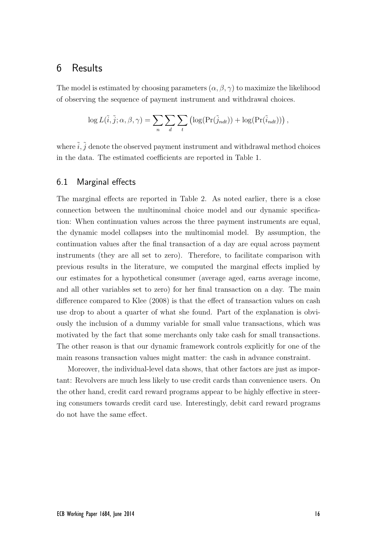# 6 Results

The model is estimated by choosing parameters  $(\alpha, \beta, \gamma)$  to maximize the likelihood of observing the sequence of payment instrument and withdrawal choices.

$$
\log L(\tilde{i}, \tilde{j}; \alpha, \beta, \gamma) = \sum_{n} \sum_{d} \sum_{t} \left( \log(\Pr(\tilde{j}_{ndt})) + \log(\Pr(\tilde{i}_{ndt})) \right),
$$

where  $\tilde{i}, \tilde{j}$  denote the observed payment instrument and withdrawal method choices in the data. The estimated coefficients are reported in Table 1.

## 6.1 Marginal effects

The marginal effects are reported in Table 2. As noted earlier, there is a close connection between the multinominal choice model and our dynamic specification: When continuation values across the three payment instruments are equal, the dynamic model collapses into the multinomial model. By assumption, the continuation values after the final transaction of a day are equal across payment instruments (they are all set to zero). Therefore, to facilitate comparison with previous results in the literature, we computed the marginal effects implied by our estimates for a hypothetical consumer (average aged, earns average income, and all other variables set to zero) for her final transaction on a day. The main difference compared to Klee (2008) is that the effect of transaction values on cash use drop to about a quarter of what she found. Part of the explanation is obviously the inclusion of a dummy variable for small value transactions, which was motivated by the fact that some merchants only take cash for small transactions. The other reason is that our dynamic framework controls explicitly for one of the main reasons transaction values might matter: the cash in advance constraint.

Moreover, the individual-level data shows, that other factors are just as important: Revolvers are much less likely to use credit cards than convenience users. On the other hand, credit card reward programs appear to be highly effective in steering consumers towards credit card use. Interestingly, debit card reward programs do not have the same effect.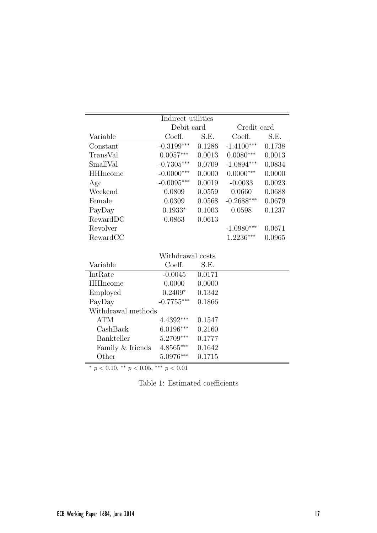| Indirect utilities |                  |        |              |        |  |
|--------------------|------------------|--------|--------------|--------|--|
|                    | Debit card       |        | Credit card  |        |  |
| Variable           | Coeff.           | S.E.   | Coeff.       | S.E.   |  |
| Constant           | $-0.3199***$     | 0.1286 | $-1.4100***$ | 0.1738 |  |
| TransVal           | $0.0057***$      | 0.0013 | $0.0080***$  | 0.0013 |  |
| SmallVal           | $-0.7305***$     | 0.0709 | $-1.0894***$ | 0.0834 |  |
| <b>HHIncome</b>    | $-0.0000***$     | 0.0000 | $0.0000***$  | 0.0000 |  |
| Age                | $-0.0095***$     | 0.0019 | $-0.0033$    | 0.0023 |  |
| Weekend            | 0.0809           | 0.0559 | 0.0660       | 0.0688 |  |
| Female             | 0.0309           | 0.0568 | $-0.2688***$ | 0.0679 |  |
| PayDay             | $0.1933*$        | 0.1003 | 0.0598       | 0.1237 |  |
| RewardDC           | 0.0863           | 0.0613 |              |        |  |
| Revolver           |                  |        | $-1.0980***$ | 0.0671 |  |
| RewardCC           |                  |        | 1.2236***    | 0.0965 |  |
|                    |                  |        |              |        |  |
|                    | Withdrawal costs |        |              |        |  |
| Variable           | Coeff.           | S.E.   |              |        |  |
| IntRate            | $-0.0045$        | 0.0171 |              |        |  |
| <b>HHIncome</b>    | 0.0000           | 0.0000 |              |        |  |
| Employed           | $0.2409*$        | 0.1342 |              |        |  |
| PayDay             | $-0.7755***$     | 0.1866 |              |        |  |
| Withdrawal methods |                  |        |              |        |  |
| ATM                | 4.4392***        | 0.1547 |              |        |  |
| CashBack           | $6.0196***$      | 0.2160 |              |        |  |
| Bankteller         | 5.2709***        | 0.1777 |              |        |  |
| Family & friends   | $4.8565***$      | 0.1642 |              |        |  |
| Other              | 5.0976***        | 0.1715 |              |        |  |

\*  $p < 0.10,$  \*\*  $p < 0.05,$  \*\*\*  $p < 0.01$ 

Table 1: Estimated coefficients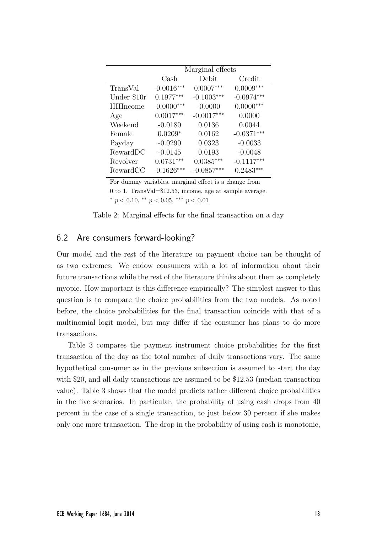|                 | Marginal effects      |              |              |  |  |
|-----------------|-----------------------|--------------|--------------|--|--|
|                 | $\operatorname{Cash}$ | Debit        | Credit       |  |  |
| TransVal        | $-0.0016***$          | $0.0007***$  | $0.0009***$  |  |  |
| Under \$10r     | $0.1977***$           | $-0.1003***$ | $-0.0974***$ |  |  |
| <b>HHIncome</b> | $-0.0000***$          | $-0.0000$    | $0.0000***$  |  |  |
| Age             | $0.0017***$           | $-0.0017***$ | 0.0000       |  |  |
| Weekend         | $-0.0180$             | 0.0136       | 0.0044       |  |  |
| Female          | $0.0209*$             | 0.0162       | $-0.0371***$ |  |  |
| Payday          | $-0.0290$             | 0.0323       | $-0.0033$    |  |  |
| RewardDC        | $-0.0145$             | 0.0193       | $-0.0048$    |  |  |
| Revolver        | $0.0731***$           | $0.0385***$  | $-0.1117***$ |  |  |
| RewardCC        | $-0.1626***$          | $-0.0857***$ | $0.2483***$  |  |  |

For dummy variables, marginal effect is a change from 0 to 1. TransVal=\$12.53, income, age at sample average. \*  $p < 0.10$ , \*\*  $p < 0.05$ , \*\*\*  $p < 0.01$ 

Table 2: Marginal effects for the final transaction on a day

## 6.2 Are consumers forward-looking?

Our model and the rest of the literature on payment choice can be thought of as two extremes: We endow consumers with a lot of information about their future transactions while the rest of the literature thinks about them as completely myopic. How important is this difference empirically? The simplest answer to this question is to compare the choice probabilities from the two models. As noted before, the choice probabilities for the final transaction coincide with that of a multinomial logit model, but may differ if the consumer has plans to do more transactions.

Table 3 compares the payment instrument choice probabilities for the first transaction of the day as the total number of daily transactions vary. The same hypothetical consumer as in the previous subsection is assumed to start the day with \$20, and all daily transactions are assumed to be \$12.53 (median transaction value). Table 3 shows that the model predicts rather different choice probabilities in the five scenarios. In particular, the probability of using cash drops from 40 percent in the case of a single transaction, to just below 30 percent if she makes only one more transaction. The drop in the probability of using cash is monotonic,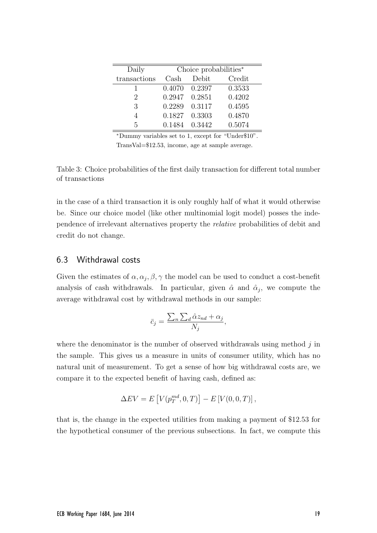| Daily        | Choice probabilities* |               |        |  |  |
|--------------|-----------------------|---------------|--------|--|--|
| transactions | Cash                  | Debit         | Credit |  |  |
|              |                       | 0.4070 0.2397 | 0.3533 |  |  |
| 2            | 0.2947 0.2851         |               | 0.4202 |  |  |
| 3            | 0.2289                | 0.3117        | 0.4595 |  |  |
|              | 0.1827                | 0.3303        | 0.4870 |  |  |
| 5            | 0.1484                | 0.3442        | 0.5074 |  |  |

<sup>∗</sup>Dummy variables set to 1, except for "Under\$10".

TransVal=\$12.53, income, age at sample average.

Table 3: Choice probabilities of the first daily transaction for different total number of transactions

in the case of a third transaction it is only roughly half of what it would otherwise be. Since our choice model (like other multinomial logit model) posses the independence of irrelevant alternatives property the relative probabilities of debit and credit do not change.

## 6.3 Withdrawal costs

Given the estimates of  $\alpha, \alpha_j, \beta, \gamma$  the model can be used to conduct a cost-benefit analysis of cash withdrawals. In particular, given  $\hat{\alpha}$  and  $\hat{\alpha}_j$ , we compute the average withdrawal cost by withdrawal methods in our sample:

$$
\bar{c}_j = \frac{\sum_n \sum_d \hat{\alpha} z_{nd} + \alpha_j}{N_j},
$$

where the denominator is the number of observed withdrawals using method  $j$  in the sample. This gives us a measure in units of consumer utility, which has no natural unit of measurement. To get a sense of how big withdrawal costs are, we compare it to the expected benefit of having cash, defined as:

$$
\Delta EV = E[V(p_T^{md}, 0, T)] - E[V(0, 0, T)],
$$

that is, the change in the expected utilities from making a payment of \$12.53 for the hypothetical consumer of the previous subsections. In fact, we compute this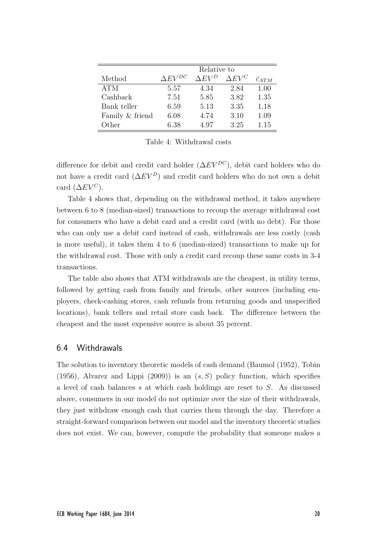|                 | Relative to                      |                 |                  |                 |  |
|-----------------|----------------------------------|-----------------|------------------|-----------------|--|
| Method          | $\Delta$ <i>EV</i> <sup>DC</sup> | $\Delta$ $EV^D$ | $\Delta E V^{C}$ | $\bar{c}_{ATM}$ |  |
| <b>ATM</b>      | 5.57                             | 4.34            | 2.84             | 1.00            |  |
| Cashback        | 7.51                             | 5.85            | 3.82             | 1.35            |  |
| Bank teller     | 6.59                             | 5.13            | 3.35             | 1.18            |  |
| Family & friend | 6.08                             | 4.74            | 3.10             | 1.09            |  |
| Other           | 6.38                             | 4.97            | 3.25             | 1.15            |  |

Table 4: Withdrawal costs

difference for debit and credit card holder ( $\Delta EV^{DC}$ ), debit card holders who do not have a credit card  $(\Delta EV^D)$  and credit card holders who do not own a debit card  $(\Delta EV^C)$ .

Table 4 shows that, depending on the withdrawal method, it takes anywhere between 6 to 8 (median-sized) transactions to recoup the average withdrawal cost for consumers who have a debit card and a credit card (with no debt). For those who can only use a debit card instead of cash, withdrawals are less costly (cash is more useful), it takes them 4 to 6 (median-sized) transactions to make up for the withdrawal cost. Those with only a credit card recoup these same costs in 3-4 transactions.

The table also shows that ATM withdrawals are the cheapest, in utility terms, followed by getting cash from family and friends, other sources (including employers, check-cashing stores, cash refunds from returning goods and unspecified locations), bank tellers and retail store cash back. The difference between the cheapest and the most expensive source is about 35 percent.

#### 6.4 Withdrawals

The solution to inventory theoretic models of cash demand (Baumol (1952), Tobin (1956), Alvarez and Lippi (2009)) is an  $(s, S)$  policy function, which specifies a level of cash balances s at which cash holdings are reset to S. As discussed above, consumers in our model do not optimize over the size of their withdrawals, they just withdraw enough cash that carries them through the day. Therefore a straight-forward comparison between our model and the inventory theoretic studies does not exist. We can, however, compute the probability that someone makes a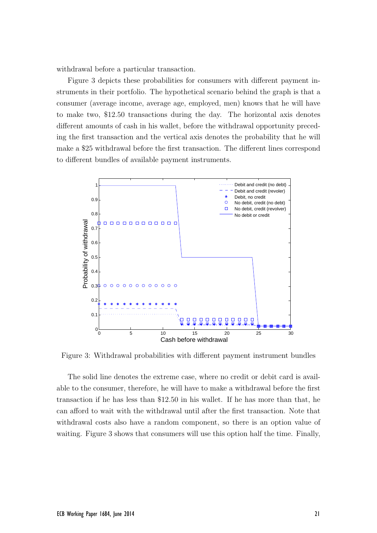withdrawal before a particular transaction.

Figure 3 depicts these probabilities for consumers with different payment instruments in their portfolio. The hypothetical scenario behind the graph is that a consumer (average income, average age, employed, men) knows that he will have to make two, \$12.50 transactions during the day. The horizontal axis denotes different amounts of cash in his wallet, before the withdrawal opportunity preceding the first transaction and the vertical axis denotes the probability that he will make a \$25 withdrawal before the first transaction. The different lines correspond to different bundles of available payment instruments.



Figure 3: Withdrawal probabilities with different payment instrument bundles

The solid line denotes the extreme case, where no credit or debit card is available to the consumer, therefore, he will have to make a withdrawal before the first transaction if he has less than \$12.50 in his wallet. If he has more than that, he can afford to wait with the withdrawal until after the first transaction. Note that withdrawal costs also have a random component, so there is an option value of waiting. Figure 3 shows that consumers will use this option half the time. Finally,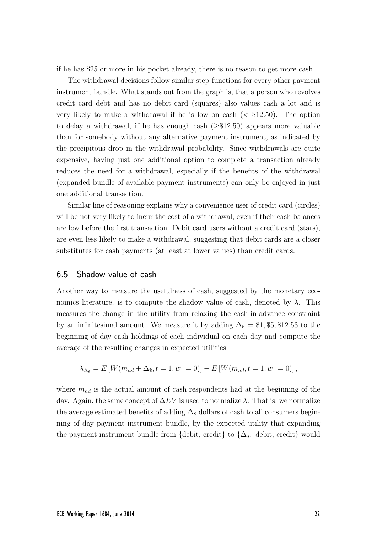if he has \$25 or more in his pocket already, there is no reason to get more cash.

The withdrawal decisions follow similar step-functions for every other payment instrument bundle. What stands out from the graph is, that a person who revolves credit card debt and has no debit card (squares) also values cash a lot and is very likely to make a withdrawal if he is low on cash  $( $$12.50$ ). The option$ to delay a withdrawal, if he has enough cash ( $\geq$ \$12.50) appears more valuable than for somebody without any alternative payment instrument, as indicated by the precipitous drop in the withdrawal probability. Since withdrawals are quite expensive, having just one additional option to complete a transaction already reduces the need for a withdrawal, especially if the benefits of the withdrawal (expanded bundle of available payment instruments) can only be enjoyed in just one additional transaction.

Similar line of reasoning explains why a convenience user of credit card (circles) will be not very likely to incur the cost of a withdrawal, even if their cash balances are low before the first transaction. Debit card users without a credit card (stars), are even less likely to make a withdrawal, suggesting that debit cards are a closer substitutes for cash payments (at least at lower values) than credit cards.

### 6.5 Shadow value of cash

Another way to measure the usefulness of cash, suggested by the monetary economics literature, is to compute the shadow value of cash, denoted by  $\lambda$ . This measures the change in the utility from relaxing the cash-in-advance constraint by an infinitesimal amount. We measure it by adding  $\Delta_{\$} = \$1, \$5, \$12.53$  to the beginning of day cash holdings of each individual on each day and compute the average of the resulting changes in expected utilities

$$
\lambda_{\Delta_{\$}} = E\left[W(m_{nd} + \Delta_{\$}, t = 1, w_1 = 0)\right] - E\left[W(m_{nd}, t = 1, w_1 = 0)\right],
$$

where  $m_{nd}$  is the actual amount of cash respondents had at the beginning of the day. Again, the same concept of  $\Delta EV$  is used to normalize  $\lambda$ . That is, we normalize the average estimated benefits of adding  $\Delta_{\$}$  dollars of cash to all consumers beginning of day payment instrument bundle, by the expected utility that expanding the payment instrument bundle from {debit, credit} to  $\{\Delta_{\$},\}$  debit, credit} would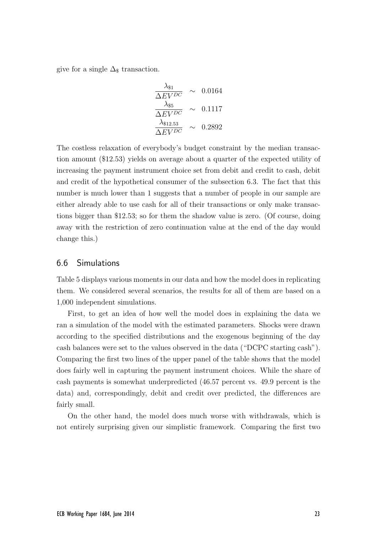give for a single  $\Delta_{\$}$  transaction.

$$
\frac{\lambda_{\$1}}{\Delta EV^{DC}} \sim 0.0164
$$
  

$$
\frac{\lambda_{\$5}}{\Delta EV^{DC}} \sim 0.1117
$$
  

$$
\frac{\lambda_{\$12.53}}{\Delta EV^{DC}} \sim 0.2892
$$

The costless relaxation of everybody's budget constraint by the median transaction amount (\$12.53) yields on average about a quarter of the expected utility of increasing the payment instrument choice set from debit and credit to cash, debit and credit of the hypothetical consumer of the subsection 6.3. The fact that this number is much lower than 1 suggests that a number of people in our sample are either already able to use cash for all of their transactions or only make transactions bigger than \$12.53; so for them the shadow value is zero. (Of course, doing away with the restriction of zero continuation value at the end of the day would change this.)

#### 6.6 Simulations

Table 5 displays various moments in our data and how the model does in replicating them. We considered several scenarios, the results for all of them are based on a 1,000 independent simulations.

First, to get an idea of how well the model does in explaining the data we ran a simulation of the model with the estimated parameters. Shocks were drawn according to the specified distributions and the exogenous beginning of the day cash balances were set to the values observed in the data ("DCPC starting cash"). Comparing the first two lines of the upper panel of the table shows that the model does fairly well in capturing the payment instrument choices. While the share of cash payments is somewhat underpredicted (46.57 percent vs. 49.9 percent is the data) and, correspondingly, debit and credit over predicted, the differences are fairly small.

On the other hand, the model does much worse with withdrawals, which is not entirely surprising given our simplistic framework. Comparing the first two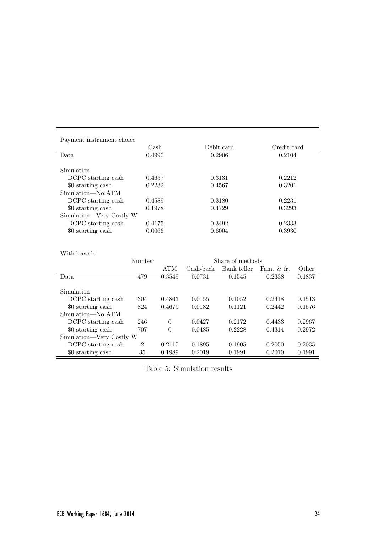| Payment instrument choice |                       |                |            |                  |             |        |  |
|---------------------------|-----------------------|----------------|------------|------------------|-------------|--------|--|
|                           | $\operatorname{Cash}$ |                | Debit card |                  | Credit card |        |  |
| Data                      | 0.4990                |                |            | 0.2906           |             | 0.2104 |  |
|                           |                       |                |            |                  |             |        |  |
| Simulation                |                       |                |            |                  |             |        |  |
| DCPC starting cash        | 0.4657                |                | 0.3131     |                  | 0.2212      |        |  |
| \$0 starting cash         | 0.2232                |                | 0.4567     |                  | 0.3201      |        |  |
| Simulation—No ATM         |                       |                |            |                  |             |        |  |
| DCPC starting cash        | 0.4589                |                | 0.3180     |                  | 0.2231      |        |  |
| \$0 starting cash         | 0.1978                |                |            | 0.4729           | 0.3293      |        |  |
| Simulation—Very Costly W  |                       |                |            |                  |             |        |  |
| DCPC starting cash        |                       | 0.4175         |            | 0.3492           |             | 0.2333 |  |
| \$0 starting cash         | 0.0066                |                |            | 0.6004           |             | 0.3930 |  |
|                           |                       |                |            |                  |             |        |  |
|                           |                       |                |            |                  |             |        |  |
| Withdrawals               |                       |                |            |                  |             |        |  |
|                           |                       | Number         |            | Share of methods |             |        |  |
|                           |                       | <b>ATM</b>     | Cash-back  | Bank teller      | Fam. & fr.  | Other  |  |
| Data                      | 479                   | 0.3549         | 0.0731     | 0.1545           | 0.2338      | 0.1837 |  |
|                           |                       |                |            |                  |             |        |  |
| Simulation                |                       |                |            |                  |             |        |  |
| DCPC starting cash        | 304                   | 0.4863         | 0.0155     | 0.1052           | 0.2418      | 0.1513 |  |
| \$0 starting cash         | 824                   | 0.4679         | 0.0182     | 0.1121           | 0.2442      | 0.1576 |  |
| Simulation-No ATM         |                       |                |            |                  |             |        |  |
| DCPC starting cash        | 246                   | $\overline{0}$ | 0.0427     | 0.2172           | 0.4433      | 0.2967 |  |
| \$0 starting cash         | 707                   | $\overline{0}$ | 0.0485     | 0.2228           | 0.4314      | 0.2972 |  |
| Simulation—Very Costly W  |                       |                |            |                  |             |        |  |
| DCPC starting cash        | $\overline{2}$        | 0.2115         | 0.1895     | 0.1905           | 0.2050      | 0.2035 |  |
| \$0 starting cash         | 35                    | 0.1989         | 0.2019     | 0.1991           | 0.2010      | 0.1991 |  |

Table 5: Simulation results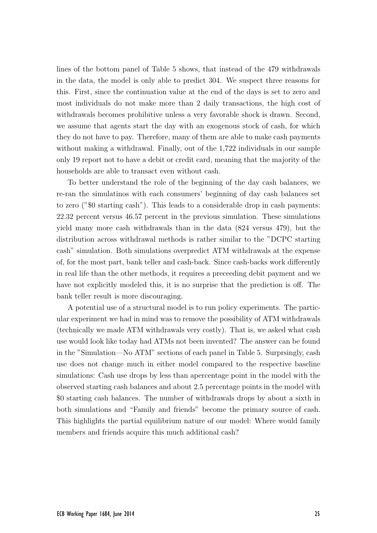lines of the bottom panel of Table 5 shows, that instead of the 479 withdrawals in the data, the model is only able to predict 304. We suspect three reasons for this. First, since the continuation value at the end of the days is set to zero and most individuals do not make more than 2 daily transactions, the high cost of withdrawals becomes prohibitive unless a very favorable shock is drawn. Second, we assume that agents start the day with an exogenous stock of cash, for which they do not have to pay. Therefore, many of them are able to make cash payments without making a withdrawal. Finally, out of the 1,722 individuals in our sample only 19 report not to have a debit or credit card, meaning that the majority of the households are able to transact even without cash.

To better understand the role of the beginning of the day cash balances, we re-ran the simulatinos with each consumers' beginning of day cash balances set to zero ("\$0 starting cash"). This leads to a considerable drop in cash payments: 22.32 percent versus 46.57 percent in the previous simulation. These simulations yield many more cash withdrawals than in the data (824 versus 479), but the distribution across withdrawal methods is rather similar to the "DCPC starting cash" simulation. Both simulations overpredict ATM withdrawals at the expense of, for the most part, bank teller and cash-back. Since cash-backs work differently in real life than the other methods, it requires a preceeding debit payment and we have not explicitly modeled this, it is no surprise that the prediction is off. The bank teller result is more discouraging.

A potential use of a structural model is to run policy experiments. The particular experiment we had in mind was to remove the possibility of ATM withdrawals (technically we made ATM withdrawals very costly). That is, we asked what cash use would look like today had ATMs not been invented? The answer can be found in the "Simulation—No ATM" sections of each panel in Table 5. Surprsingly, cash use does not change much in either model compared to the respective baseline simulations: Cash use drops by less than apercentage point in the model with the observed starting cash balances and about 2.5 percentage points in the model with \$0 starting cash balances. The number of withdrawals drops by about a sixth in both simulations and "Family and friends" become the primary source of cash. This highlights the partial equilibrium nature of our model: Where would family members and friends acquire this much additional cash?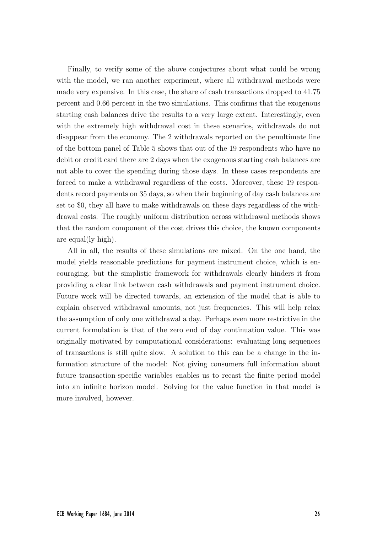Finally, to verify some of the above conjectures about what could be wrong with the model, we ran another experiment, where all withdrawal methods were made very expensive. In this case, the share of cash transactions dropped to 41.75 percent and 0.66 percent in the two simulations. This confirms that the exogenous starting cash balances drive the results to a very large extent. Interestingly, even with the extremely high withdrawal cost in these scenarios, withdrawals do not disappear from the economy. The 2 withdrawals reported on the penultimate line of the bottom panel of Table 5 shows that out of the 19 respondents who have no debit or credit card there are 2 days when the exogenous starting cash balances are not able to cover the spending during those days. In these cases respondents are forced to make a withdrawal regardless of the costs. Moreover, these 19 respondents record payments on 35 days, so when their beginning of day cash balances are set to \$0, they all have to make withdrawals on these days regardless of the withdrawal costs. The roughly uniform distribution across withdrawal methods shows that the random component of the cost drives this choice, the known components are equal(ly high).

All in all, the results of these simulations are mixed. On the one hand, the model yields reasonable predictions for payment instrument choice, which is encouraging, but the simplistic framework for withdrawals clearly hinders it from providing a clear link between cash withdrawals and payment instrument choice. Future work will be directed towards, an extension of the model that is able to explain observed withdrawal amounts, not just frequencies. This will help relax the assumption of only one withdrawal a day. Perhaps even more restrictive in the current formulation is that of the zero end of day continuation value. This was originally motivated by computational considerations: evaluating long sequences of transactions is still quite slow. A solution to this can be a change in the information structure of the model: Not giving consumers full information about future transaction-specific variables enables us to recast the finite period model into an infinite horizon model. Solving for the value function in that model is more involved, however.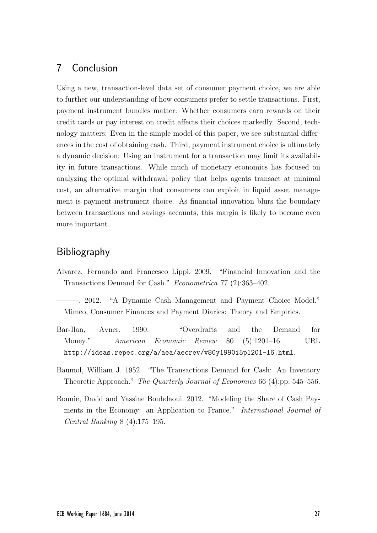# 7 Conclusion

Using a new, transaction-level data set of consumer payment choice, we are able to further our understanding of how consumers prefer to settle transactions. First, payment instrument bundles matter: Whether consumers earn rewards on their credit cards or pay interest on credit affects their choices markedly. Second, technology matters: Even in the simple model of this paper, we see substantial differences in the cost of obtaining cash. Third, payment instrument choice is ultimately a dynamic decision: Using an instrument for a transaction may limit its availability in future transactions. While much of monetary economics has focused on analyzing the optimal withdrawal policy that helps agents transact at minimal cost, an alternative margin that consumers can exploit in liquid asset management is payment instrument choice. As financial innovation blurs the boundary between transactions and savings accounts, this margin is likely to become even more important.

# Bibliography

Alvarez, Fernando and Francesco Lippi. 2009. "Financial Innovation and the Transactions Demand for Cash." Econometrica 77 (2):363–402.

———. 2012. "A Dynamic Cash Management and Payment Choice Model." Mimeo, Consumer Finances and Payment Diaries: Theory and Empirics.

- Bar-Ilan, Avner. 1990. "Overdrafts and the Demand for Money." American Economic Review 80 (5):1201–16. URL http://ideas.repec.org/a/aea/aecrev/v80y1990i5p1201-16.html.
- Baumol, William J. 1952. "The Transactions Demand for Cash: An Inventory Theoretic Approach." The Quarterly Journal of Economics 66 (4):pp. 545–556.
- Bounie, David and Yassine Bouhdaoui. 2012. "Modeling the Share of Cash Payments in the Economy: an Application to France." *International Journal of* Central Banking 8 (4):175–195.